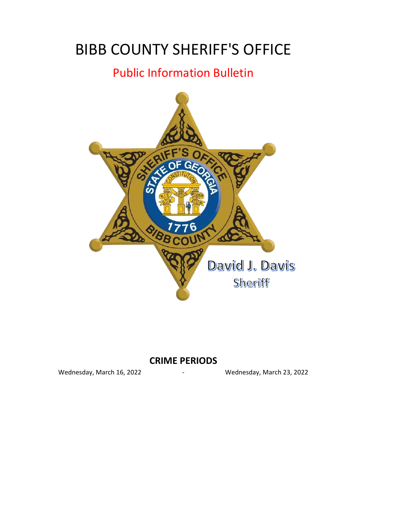# BIBB COUNTY SHERIFF'S OFFICE

## Public Information Bulletin



#### - **CRIME PERIODS**

Wednesday, March 16, 2022 The Muslim Channes and Mednesday, March 23, 2022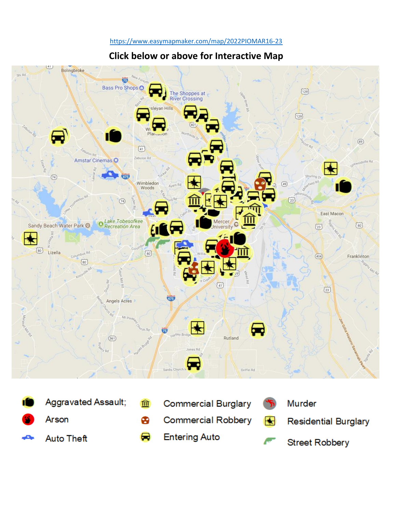#### [http](https://www.easymapmaker.com/map/2022PIOMAR16-23)s://www.easymapmaker.com/map/2022PIOMAR16-23

### **Click below or above for Interactive Map**



**Entering Auto** ⊖

**Auto Theft** 

**Street Robbery**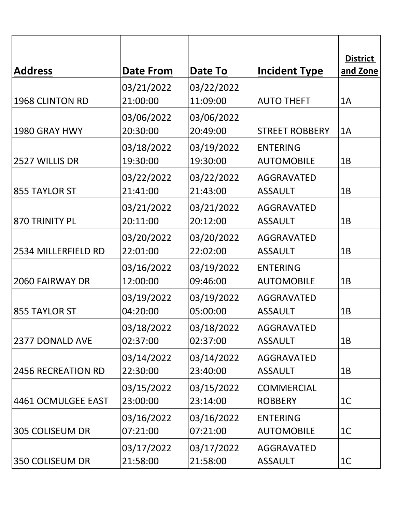| <b>Address</b>      | Date From              | Date To                | <b>Incident Type</b>                 | <b>District</b><br>and Zone |
|---------------------|------------------------|------------------------|--------------------------------------|-----------------------------|
|                     | 03/21/2022             | 03/22/2022             |                                      |                             |
| 1968 CLINTON RD     | 21:00:00               | 11:09:00               | <b>AUTO THEFT</b>                    | 1A                          |
|                     | 03/06/2022             | 03/06/2022             |                                      |                             |
| 1980 GRAY HWY       | 20:30:00               | 20:49:00               | <b>STREET ROBBERY</b>                | 1A                          |
| 2527 WILLIS DR      | 03/18/2022<br>19:30:00 | 03/19/2022<br>19:30:00 | <b>ENTERING</b><br><b>AUTOMOBILE</b> | 1B                          |
| 855 TAYLOR ST       | 03/22/2022<br>21:41:00 | 03/22/2022<br>21:43:00 | <b>AGGRAVATED</b><br><b>ASSAULT</b>  | 1B                          |
| 870 TRINITY PL      | 03/21/2022<br>20:11:00 | 03/21/2022<br>20:12:00 | <b>AGGRAVATED</b><br><b>ASSAULT</b>  | 1B                          |
| 2534 MILLERFIELD RD | 03/20/2022<br>22:01:00 | 03/20/2022<br>22:02:00 | <b>AGGRAVATED</b><br><b>ASSAULT</b>  | 1B                          |
| 2060 FAIRWAY DR     | 03/16/2022<br>12:00:00 | 03/19/2022<br>09:46:00 | <b>ENTERING</b><br><b>AUTOMOBILE</b> | 1B                          |
| 855 TAYLOR ST       | 03/19/2022<br>04:20:00 | 03/19/2022<br>05:00:00 | <b>AGGRAVATED</b><br><b>ASSAULT</b>  | 1B                          |
| 2377 DONALD AVE     | 03/18/2022<br>02:37:00 | 03/18/2022<br>02:37:00 | <b>AGGRAVATED</b><br><b>ASSAULT</b>  | 1B                          |
| 2456 RECREATION RD  | 03/14/2022<br>22:30:00 | 03/14/2022<br>23:40:00 | <b>AGGRAVATED</b><br><b>ASSAULT</b>  | 1B                          |
| 4461 OCMULGEE EAST  | 03/15/2022<br>23:00:00 | 03/15/2022<br>23:14:00 | <b>COMMERCIAL</b><br><b>ROBBERY</b>  | 1 <sup>C</sup>              |
| 305 COLISEUM DR     | 03/16/2022<br>07:21:00 | 03/16/2022<br>07:21:00 | <b>ENTERING</b><br><b>AUTOMOBILE</b> | 1 <sup>C</sup>              |
| 350 COLISEUM DR     | 03/17/2022<br>21:58:00 | 03/17/2022<br>21:58:00 | <b>AGGRAVATED</b><br><b>ASSAULT</b>  | 1 <sup>C</sup>              |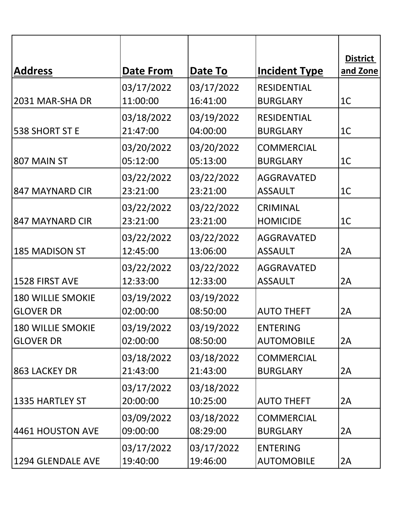| <b>Address</b>                               | <b>Date From</b>       | Date To                | <b>Incident Type</b>                  | <b>District</b><br>and Zone |
|----------------------------------------------|------------------------|------------------------|---------------------------------------|-----------------------------|
| 2031 MAR-SHA DR                              | 03/17/2022<br>11:00:00 | 03/17/2022<br>16:41:00 | <b>RESIDENTIAL</b><br><b>BURGLARY</b> | 1 <sup>C</sup>              |
| 538 SHORT ST E                               | 03/18/2022<br>21:47:00 | 03/19/2022<br>04:00:00 | <b>RESIDENTIAL</b><br><b>BURGLARY</b> | 1 <sup>C</sup>              |
| 807 MAIN ST                                  | 03/20/2022<br>05:12:00 | 03/20/2022<br>05:13:00 | <b>COMMERCIAL</b><br><b>BURGLARY</b>  | 1 <sup>C</sup>              |
| 847 MAYNARD CIR                              | 03/22/2022<br>23:21:00 | 03/22/2022<br>23:21:00 | <b>AGGRAVATED</b><br><b>ASSAULT</b>   | 1 <sup>C</sup>              |
| 847 MAYNARD CIR                              | 03/22/2022<br>23:21:00 | 03/22/2022<br>23:21:00 | <b>CRIMINAL</b><br><b>HOMICIDE</b>    | 1 <sup>C</sup>              |
| 185 MADISON ST                               | 03/22/2022<br>12:45:00 | 03/22/2022<br>13:06:00 | <b>AGGRAVATED</b><br><b>ASSAULT</b>   | 2A                          |
| 1528 FIRST AVE                               | 03/22/2022<br>12:33:00 | 03/22/2022<br>12:33:00 | <b>AGGRAVATED</b><br><b>ASSAULT</b>   | 2A                          |
| <b>180 WILLIE SMOKIE</b><br><b>GLOVER DR</b> | 03/19/2022<br>02:00:00 | 03/19/2022<br>08:50:00 | <b>AUTO THEFT</b>                     | 2A                          |
| <b>180 WILLIE SMOKIE</b><br><b>GLOVER DR</b> | 03/19/2022<br>02:00:00 | 03/19/2022<br>08:50:00 | <b>ENTERING</b><br><b>AUTOMOBILE</b>  | 2A                          |
| 863 LACKEY DR                                | 03/18/2022<br>21:43:00 | 03/18/2022<br>21:43:00 | <b>COMMERCIAL</b><br><b>BURGLARY</b>  | 2A                          |
| 1335 HARTLEY ST                              | 03/17/2022<br>20:00:00 | 03/18/2022<br>10:25:00 | <b>AUTO THEFT</b>                     | 2A                          |
| 4461 HOUSTON AVE                             | 03/09/2022<br>09:00:00 | 03/18/2022<br>08:29:00 | <b>COMMERCIAL</b><br><b>BURGLARY</b>  | 2A                          |
| 1294 GLENDALE AVE                            | 03/17/2022<br>19:40:00 | 03/17/2022<br>19:46:00 | <b>ENTERING</b><br><b>AUTOMOBILE</b>  | 2A                          |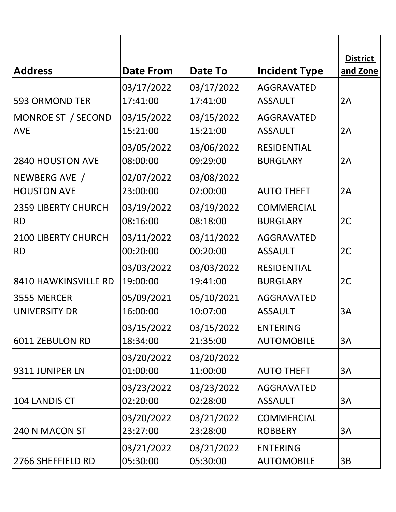| <b>Address</b>                          | Date From              | Date To                | <b>Incident Type</b>                  | <b>District</b><br>and Zone |
|-----------------------------------------|------------------------|------------------------|---------------------------------------|-----------------------------|
| 593 ORMOND TER                          | 03/17/2022<br>17:41:00 | 03/17/2022<br>17:41:00 | <b>AGGRAVATED</b><br><b>ASSAULT</b>   | 2A                          |
| MONROE ST / SECOND<br><b>AVE</b>        | 03/15/2022<br>15:21:00 | 03/15/2022<br>15:21:00 | <b>AGGRAVATED</b><br><b>ASSAULT</b>   | 2A                          |
| 2840 HOUSTON AVE                        | 03/05/2022<br>08:00:00 | 03/06/2022<br>09:29:00 | <b>RESIDENTIAL</b><br><b>BURGLARY</b> | 2A                          |
| NEWBERG AVE /<br><b>HOUSTON AVE</b>     | 02/07/2022<br>23:00:00 | 03/08/2022<br>02:00:00 | <b>AUTO THEFT</b>                     | 2A                          |
| <b>2359 LIBERTY CHURCH</b><br><b>RD</b> | 03/19/2022<br>08:16:00 | 03/19/2022<br>08:18:00 | <b>COMMERCIAL</b><br><b>BURGLARY</b>  | 2C                          |
| 2100 LIBERTY CHURCH<br><b>RD</b>        | 03/11/2022<br>00:20:00 | 03/11/2022<br>00:20:00 | <b>AGGRAVATED</b><br><b>ASSAULT</b>   | 2C                          |
| 8410 HAWKINSVILLE RD                    | 03/03/2022<br>19:00:00 | 03/03/2022<br>19:41:00 | <b>RESIDENTIAL</b><br><b>BURGLARY</b> | 2C                          |
| 3555 MERCER<br><b>UNIVERSITY DR</b>     | 05/09/2021<br>16:00:00 | 05/10/2021<br>10:07:00 | <b>AGGRAVATED</b><br><b>ASSAULT</b>   | 3A                          |
| 6011 ZEBULON RD                         | 03/15/2022<br>18:34:00 | 03/15/2022<br>21:35:00 | <b>ENTERING</b><br><b>AUTOMOBILE</b>  | 3A                          |
| 9311 JUNIPER LN                         | 03/20/2022<br>01:00:00 | 03/20/2022<br>11:00:00 | <b>AUTO THEFT</b>                     | 3A                          |
| 104 LANDIS CT                           | 03/23/2022<br>02:20:00 | 03/23/2022<br>02:28:00 | <b>AGGRAVATED</b><br><b>ASSAULT</b>   | 3A                          |
| 240 N MACON ST                          | 03/20/2022<br>23:27:00 | 03/21/2022<br>23:28:00 | <b>COMMERCIAL</b><br><b>ROBBERY</b>   | 3A                          |
| 2766 SHEFFIELD RD                       | 03/21/2022<br>05:30:00 | 03/21/2022<br>05:30:00 | <b>ENTERING</b><br><b>AUTOMOBILE</b>  | 3B                          |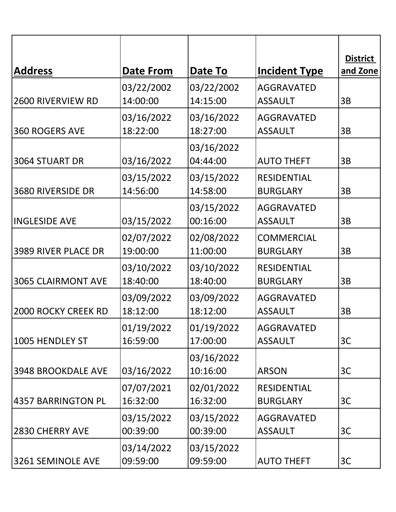| <b>Address</b>            | <b>Date From</b>       | Date To                | <b>Incident Type</b>                  | <b>District</b><br>and Zone |
|---------------------------|------------------------|------------------------|---------------------------------------|-----------------------------|
| 2600 RIVERVIEW RD         | 03/22/2002<br>14:00:00 | 03/22/2002<br>14:15:00 | <b>AGGRAVATED</b><br><b>ASSAULT</b>   | 3B                          |
| 360 ROGERS AVE            | 03/16/2022<br>18:22:00 | 03/16/2022<br>18:27:00 | <b>AGGRAVATED</b><br><b>ASSAULT</b>   | 3B                          |
| 3064 STUART DR            | 03/16/2022             | 03/16/2022<br>04:44:00 | <b>AUTO THEFT</b>                     | 3B                          |
| <b>3680 RIVERSIDE DR</b>  | 03/15/2022<br>14:56:00 | 03/15/2022<br>14:58:00 | <b>RESIDENTIAL</b><br><b>BURGLARY</b> | 3B                          |
| <b>INGLESIDE AVE</b>      | 03/15/2022             | 03/15/2022<br>00:16:00 | <b>AGGRAVATED</b><br><b>ASSAULT</b>   | 3B                          |
| 3989 RIVER PLACE DR       | 02/07/2022<br>19:00:00 | 02/08/2022<br>11:00:00 | <b>COMMERCIAL</b><br><b>BURGLARY</b>  | 3B                          |
| <b>3065 CLAIRMONT AVE</b> | 03/10/2022<br>18:40:00 | 03/10/2022<br>18:40:00 | <b>RESIDENTIAL</b><br><b>BURGLARY</b> | 3B                          |
| 2000 ROCKY CREEK RD       | 03/09/2022<br>18:12:00 | 03/09/2022<br>18:12:00 | <b>AGGRAVATED</b><br><b>ASSAULT</b>   | 3B                          |
| 1005 HENDLEY ST           | 01/19/2022<br>16:59:00 | 01/19/2022<br>17:00:00 | <b>AGGRAVATED</b><br><b>ASSAULT</b>   | 3C                          |
| 3948 BROOKDALE AVE        | 03/16/2022             | 03/16/2022<br>10:16:00 | <b>ARSON</b>                          | 3C                          |
| 4357 BARRINGTON PL        | 07/07/2021<br>16:32:00 | 02/01/2022<br>16:32:00 | <b>RESIDENTIAL</b><br><b>BURGLARY</b> | 3C                          |
| 2830 CHERRY AVE           | 03/15/2022<br>00:39:00 | 03/15/2022<br>00:39:00 | <b>AGGRAVATED</b><br><b>ASSAULT</b>   | 3C                          |
| 3261 SEMINOLE AVE         | 03/14/2022<br>09:59:00 | 03/15/2022<br>09:59:00 | <b>AUTO THEFT</b>                     | 3C                          |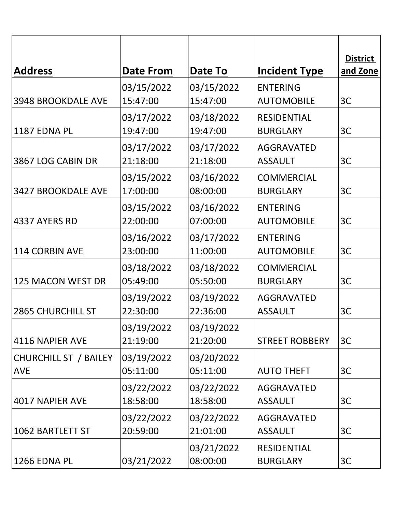| <b>Address</b>                      | Date From              | Date To                | <b>Incident Type</b>                  | <b>District</b><br>and Zone |
|-------------------------------------|------------------------|------------------------|---------------------------------------|-----------------------------|
| 3948 BROOKDALE AVE                  | 03/15/2022<br>15:47:00 | 03/15/2022<br>15:47:00 | <b>ENTERING</b><br><b>AUTOMOBILE</b>  | 3C                          |
| 1187 EDNA PL                        | 03/17/2022<br>19:47:00 | 03/18/2022<br>19:47:00 | <b>RESIDENTIAL</b><br><b>BURGLARY</b> | 3C                          |
| 3867 LOG CABIN DR                   | 03/17/2022<br>21:18:00 | 03/17/2022<br>21:18:00 | <b>AGGRAVATED</b><br><b>ASSAULT</b>   | 3C                          |
| 3427 BROOKDALE AVE                  | 03/15/2022<br>17:00:00 | 03/16/2022<br>08:00:00 | <b>COMMERCIAL</b><br><b>BURGLARY</b>  | 3C                          |
| 4337 AYERS RD                       | 03/15/2022<br>22:00:00 | 03/16/2022<br>07:00:00 | <b>ENTERING</b><br><b>AUTOMOBILE</b>  | 3C                          |
| 114 CORBIN AVE                      | 03/16/2022<br>23:00:00 | 03/17/2022<br>11:00:00 | <b>ENTERING</b><br><b>AUTOMOBILE</b>  | 3C                          |
| 125 MACON WEST DR                   | 03/18/2022<br>05:49:00 | 03/18/2022<br>05:50:00 | <b>COMMERCIAL</b><br><b>BURGLARY</b>  | 3C                          |
| <b>2865 CHURCHILL ST</b>            | 03/19/2022<br>22:30:00 | 03/19/2022<br>22:36:00 | <b>AGGRAVATED</b><br><b>ASSAULT</b>   | 3C                          |
| 4116 NAPIER AVE                     | 03/19/2022<br>21:19:00 | 03/19/2022<br>21:20:00 | <b>STREET ROBBERY</b>                 | 3C                          |
| CHURCHILL ST / BAILEY<br><b>AVE</b> | 03/19/2022<br>05:11:00 | 03/20/2022<br>05:11:00 | <b>AUTO THEFT</b>                     | 3C                          |
| 4017 NAPIER AVE                     | 03/22/2022<br>18:58:00 | 03/22/2022<br>18:58:00 | <b>AGGRAVATED</b><br><b>ASSAULT</b>   | 3C                          |
| 1062 BARTLETT ST                    | 03/22/2022<br>20:59:00 | 03/22/2022<br>21:01:00 | <b>AGGRAVATED</b><br><b>ASSAULT</b>   | 3C                          |
| 1266 EDNA PL                        | 03/21/2022             | 03/21/2022<br>08:00:00 | <b>RESIDENTIAL</b><br><b>BURGLARY</b> | 3C                          |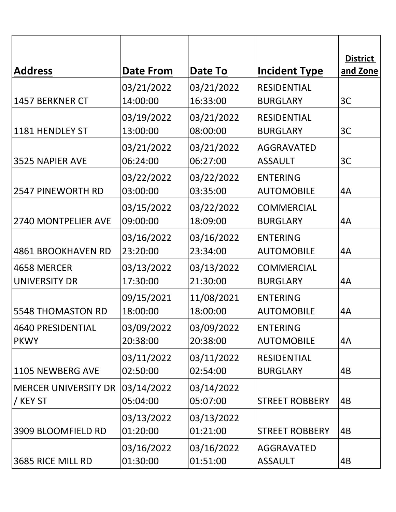|                                         |                                |                        |                                            | <b>District</b><br>and Zone |
|-----------------------------------------|--------------------------------|------------------------|--------------------------------------------|-----------------------------|
| <b>Address</b>                          | <b>Date From</b><br>03/21/2022 | Date To<br>03/21/2022  | <b>Incident Type</b><br><b>RESIDENTIAL</b> |                             |
| 1457 BERKNER CT                         | 14:00:00                       | 16:33:00               | <b>BURGLARY</b>                            | 3C                          |
| 1181 HENDLEY ST                         | 03/19/2022<br>13:00:00         | 03/21/2022<br>08:00:00 | <b>RESIDENTIAL</b><br><b>BURGLARY</b>      | 3C                          |
| 3525 NAPIER AVE                         | 03/21/2022<br>06:24:00         | 03/21/2022<br>06:27:00 | <b>AGGRAVATED</b><br><b>ASSAULT</b>        | 3C                          |
| <b>2547 PINEWORTH RD</b>                | 03/22/2022<br>03:00:00         | 03/22/2022<br>03:35:00 | <b>ENTERING</b><br><b>AUTOMOBILE</b>       | 4A                          |
| 2740 MONTPELIER AVE                     | 03/15/2022<br>09:00:00         | 03/22/2022<br>18:09:00 | <b>COMMERCIAL</b><br><b>BURGLARY</b>       | 4A                          |
| <b>4861 BROOKHAVEN RD</b>               | 03/16/2022<br>23:20:00         | 03/16/2022<br>23:34:00 | <b>ENTERING</b><br><b>AUTOMOBILE</b>       | 4A                          |
| 4658 MERCER<br>UNIVERSITY DR            | 03/13/2022<br>17:30:00         | 03/13/2022<br>21:30:00 | <b>COMMERCIAL</b><br><b>BURGLARY</b>       | 4A                          |
| <b>5548 THOMASTON RD</b>                | 09/15/2021<br>18:00:00         | 11/08/2021<br>18:00:00 | <b>ENTERING</b><br><b>AUTOMOBILE</b>       | 4A                          |
| 4640 PRESIDENTIAL<br><b>PKWY</b>        | 03/09/2022<br>20:38:00         | 03/09/2022<br>20:38:00 | <b>ENTERING</b><br><b>AUTOMOBILE</b>       | 4A                          |
| 1105 NEWBERG AVE                        | 03/11/2022<br>02:50:00         | 03/11/2022<br>02:54:00 | <b>RESIDENTIAL</b><br><b>BURGLARY</b>      | 4B                          |
| <b>MERCER UNIVERSITY DR</b><br>/ KEY ST | 03/14/2022<br>05:04:00         | 03/14/2022<br>05:07:00 | <b>STREET ROBBERY</b>                      | 4B                          |
| 3909 BLOOMFIELD RD                      | 03/13/2022<br>01:20:00         | 03/13/2022<br>01:21:00 | <b>STREET ROBBERY</b>                      | 4B                          |
| 3685 RICE MILL RD                       | 03/16/2022<br>01:30:00         | 03/16/2022<br>01:51:00 | <b>AGGRAVATED</b><br><b>ASSAULT</b>        | 4B                          |